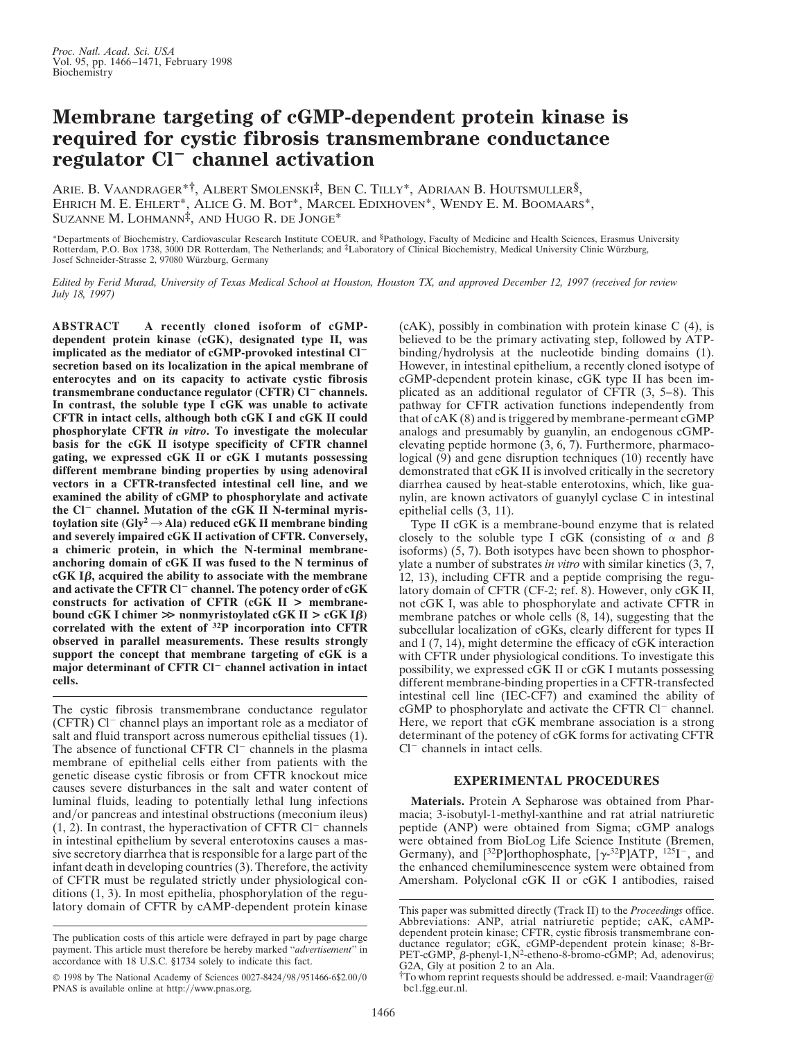## **Membrane targeting of cGMP-dependent protein kinase is required for cystic fibrosis transmembrane conductance regulator Cl**<sup>2</sup> **channel activation**

ARIE. B. VAANDRAGER\*†, ALBERT SMOLENSKI‡, BEN C. TILLY\*, ADRIAAN B. HOUTSMULLER§, EHRICH M. E. EHLERT\*, ALICE G. M. BOT\*, MARCEL EDIXHOVEN\*, WENDY E. M. BOOMAARS\*, SUZANNE M. LOHMANN‡, AND HUGO R. DE JONGE\*

\*Departments of Biochemistry, Cardiovascular Research Institute COEUR, and §Pathology, Faculty of Medicine and Health Sciences, Erasmus University Rotterdam, P.O. Box 1738, 3000 DR Rotterdam, The Netherlands; and ‡Laboratory of Clinical Biochemistry, Medical University Clinic Würzburg, Josef Schneider-Strasse 2, 97080 Wu¨rzburg, Germany

*Edited by Ferid Murad, University of Texas Medical School at Houston, Houston TX, and approved December 12, 1997 (received for review July 18, 1997)*

**ABSTRACT A recently cloned isoform of cGMPdependent protein kinase (cGK), designated type II, was** implicated as the mediator of cGMP-provoked intestinal Cl<sup>-</sup> **secretion based on its localization in the apical membrane of enterocytes and on its capacity to activate cystic fibrosis transmembrane conductance regulator (CFTR) Cl<sup>-</sup> channels. In contrast, the soluble type I cGK was unable to activate CFTR in intact cells, although both cGK I and cGK II could phosphorylate CFTR** *in vitro***. To investigate the molecular basis for the cGK II isotype specificity of CFTR channel gating, we expressed cGK II or cGK I mutants possessing different membrane binding properties by using adenoviral vectors in a CFTR-transfected intestinal cell line, and we examined the ability of cGMP to phosphorylate and activate** the Cl<sup>-</sup> channel. Mutation of the cGK II N-terminal myris**toylation site (Gly<sup>2</sup>**  $\rightarrow$  **Ala) reduced cGK II membrane binding and severely impaired cGK II activation of CFTR. Conversely, a chimeric protein, in which the N-terminal membraneanchoring domain of cGK II was fused to the N terminus of**  $cGK$  I $\beta$ , acquired the ability to associate with the membrane **and activate the CFTR Cl**<sup>2</sup> **channel. The potency order of cGK constructs for activation of CFTR (cGK II > membranebound cGK I chimer**  $\gg$  **nonmyristoylated cGK II**  $>$  **cGK I** $\beta$ **) correlated with the extent of 32P incorporation into CFTR observed in parallel measurements. These results strongly support the concept that membrane targeting of cGK is a major determinant of CFTR Cl<sup>-</sup> channel activation in intact cells.**

The cystic fibrosis transmembrane conductance regulator  $(CFTR)$  Cl<sup>-</sup> channel plays an important role as a mediator of salt and fluid transport across numerous epithelial tissues (1). The absence of functional CFTR  $Cl^-$  channels in the plasma membrane of epithelial cells either from patients with the genetic disease cystic fibrosis or from CFTR knockout mice causes severe disturbances in the salt and water content of luminal fluids, leading to potentially lethal lung infections and/or pancreas and intestinal obstructions (meconium ileus)  $(1, 2)$ . In contrast, the hyperactivation of CFTR Cl<sup>-</sup> channels in intestinal epithelium by several enterotoxins causes a massive secretory diarrhea that is responsible for a large part of the infant death in developing countries (3). Therefore, the activity of CFTR must be regulated strictly under physiological conditions (1, 3). In most epithelia, phosphorylation of the regulatory domain of CFTR by cAMP-dependent protein kinase (cAK), possibly in combination with protein kinase C (4), is believed to be the primary activating step, followed by ATPbinding/hydrolysis at the nucleotide binding domains (1). However, in intestinal epithelium, a recently cloned isotype of cGMP-dependent protein kinase, cGK type II has been implicated as an additional regulator of CFTR (3, 5–8). This pathway for CFTR activation functions independently from that of cAK (8) and is triggered by membrane-permeant cGMP analogs and presumably by guanylin, an endogenous cGMPelevating peptide hormone (3, 6, 7). Furthermore, pharmacological (9) and gene disruption techniques (10) recently have demonstrated that cGK II is involved critically in the secretory diarrhea caused by heat-stable enterotoxins, which, like guanylin, are known activators of guanylyl cyclase C in intestinal epithelial cells (3, 11).

Type II cGK is a membrane-bound enzyme that is related closely to the soluble type I cGK (consisting of  $\alpha$  and  $\beta$ isoforms) (5, 7). Both isotypes have been shown to phosphorylate a number of substrates *in vitro* with similar kinetics (3, 7, 12, 13), including CFTR and a peptide comprising the regulatory domain of CFTR (CF-2; ref. 8). However, only cGK II, not cGK I, was able to phosphorylate and activate CFTR in membrane patches or whole cells (8, 14), suggesting that the subcellular localization of cGKs, clearly different for types II and I (7, 14), might determine the efficacy of cGK interaction with CFTR under physiological conditions. To investigate this possibility, we expressed cGK II or cGK I mutants possessing different membrane-binding properties in a CFTR-transfected intestinal cell line (IEC-CF7) and examined the ability of  $cGMP$  to phosphorylate and activate the CFTR Cl<sup>-</sup> channel. Here, we report that cGK membrane association is a strong determinant of the potency of cGK forms for activating CFTR  $Cl^-$  channels in intact cells.

## **EXPERIMENTAL PROCEDURES**

**Materials.** Protein A Sepharose was obtained from Pharmacia; 3-isobutyl-1-methyl-xanthine and rat atrial natriuretic peptide (ANP) were obtained from Sigma; cGMP analogs were obtained from BioLog Life Science Institute (Bremen, Germany), and  $[32P]$ orthophosphate,  $[\gamma^{32}P]ATP$ ,  $125I^-$ , and the enhanced chemiluminescence system were obtained from Amersham. Polyclonal cGK II or cGK I antibodies, raised

The publication costs of this article were defrayed in part by page charge payment. This article must therefore be hereby marked ''*advertisement*'' in accordance with 18 U.S.C. §1734 solely to indicate this fact.

<sup>© 1998</sup> by The National Academy of Sciences 0027-8424/98/951466-6\$2.00/0 PNAS is available online at http://www.pnas.org.

This paper was submitted directly (Track II) to the *Proceedings* office. Abbreviations: ANP, atrial natriuretic peptide; cAK, cAMPdependent protein kinase; CFTR, cystic fibrosis transmembrane conductance regulator; cGK, cGMP-dependent protein kinase; 8-Br-PET-cGMP, b-phenyl-1,N2-etheno-8-bromo-cGMP; Ad, adenovirus; G2A, Gly at position 2 to an Ala.

<sup>†</sup>To whom reprint requests should be addressed. e-mail: Vaandrager@ bc1.fgg.eur.nl.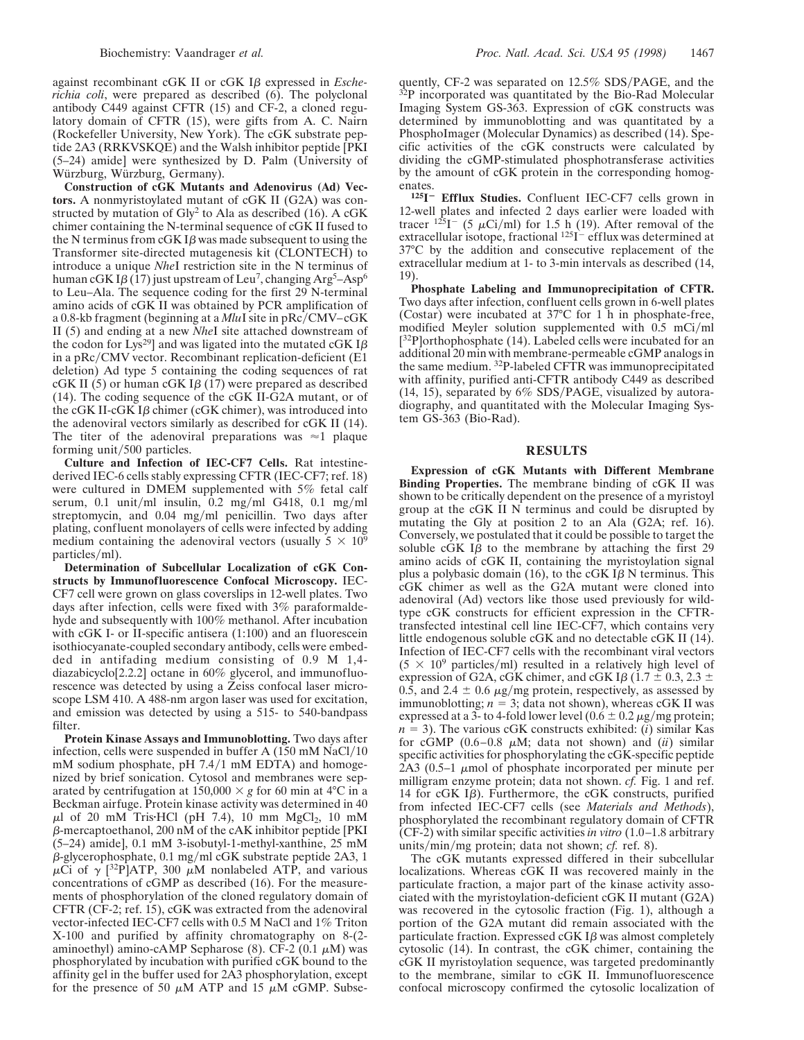against recombinant cGK II or cGK I<sub>B</sub> expressed in *Escherichia coli*, were prepared as described (6). The polyclonal antibody C449 against CFTR (15) and CF-2, a cloned regulatory domain of CFTR (15), were gifts from A. C. Nairn (Rockefeller University, New York). The cGK substrate peptide 2A3 (RRKVSKQE) and the Walsh inhibitor peptide [PKI (5–24) amide] were synthesized by D. Palm (University of Würzburg, Würzburg, Germany).

**Construction of cGK Mutants and Adenovirus (Ad) Vectors.** A nonmyristoylated mutant of cGK II (G2A) was constructed by mutation of  $\text{Gly}^2$  to Ala as described (16). A cGK chimer containing the N-terminal sequence of cGK II fused to the N terminus from  $cGK I\beta$  was made subsequent to using the Transformer site-directed mutagenesis kit (CLONTECH) to introduce a unique *Nhe*I restriction site in the N terminus of human cGK I $\beta$  (17) just upstream of Leu<sup>7</sup>, changing Arg<sup>5</sup>–Asp<sup>6</sup> to Leu–Ala. The sequence coding for the first 29 N-terminal amino acids of cGK II was obtained by PCR amplification of a 0.8-kb fragment (beginning at a *MluI* site in pRc/CMV–cGK II (5) and ending at a new *Nhe*I site attached downstream of the codon for Lys<sup>29</sup>] and was ligated into the mutated cGK I $\beta$ in a  $pRc/CMV$  vector. Recombinant replication-deficient (E1) deletion) Ad type 5 containing the coding sequences of rat cGK II (5) or human cGK I $\beta$  (17) were prepared as described (14). The coding sequence of the cGK II-G2A mutant, or of the cGK II-cGK I $\beta$  chimer (cGK chimer), was introduced into the adenoviral vectors similarly as described for cGK II (14). The titer of the adenoviral preparations was  $\approx$  1 plaque forming unit/ $500$  particles.

**Culture and Infection of IEC-CF7 Cells.** Rat intestinederived IEC-6 cells stably expressing CFTR (IEC-CF7; ref. 18) were cultured in DMEM supplemented with 5% fetal calf serum, 0.1 unit/ml insulin, 0.2 mg/ml G418, 0.1 mg/ml streptomycin, and  $0.04 \text{ mg/ml}$  penicillin. Two days after plating, confluent monolayers of cells were infected by adding medium containing the adenoviral vectors (usually  $5 \times 10^9$ particles/ml).

**Determination of Subcellular Localization of cGK Constructs by Immunofluorescence Confocal Microscopy.** IEC-CF7 cell were grown on glass coverslips in 12-well plates. Two days after infection, cells were fixed with 3% paraformaldehyde and subsequently with 100% methanol. After incubation with cGK I- or II-specific antisera (1:100) and an fluorescein isothiocyanate-coupled secondary antibody, cells were embedded in antifading medium consisting of 0.9 M 1,4 diazabicyclo[2.2.2] octane in 60% glycerol, and immunofluorescence was detected by using a Zeiss confocal laser microscope LSM 410. A 488-nm argon laser was used for excitation, and emission was detected by using a 515- to 540-bandpass filter.

**Protein Kinase Assays and Immunoblotting.** Two days after infection, cells were suspended in buffer A  $(150 \text{ mM NaCl}/10$  $m$ M sodium phosphate, pH 7.4/1 mM EDTA) and homogenized by brief sonication. Cytosol and membranes were separated by centrifugation at  $150,000 \times g$  for 60 min at 4<sup>o</sup>C in a Beckman airfuge. Protein kinase activity was determined in 40  $\mu$ l of 20 mM Tris·HCl (pH 7.4), 10 mm MgCl<sub>2</sub>, 10 mM  $\beta$ -mercaptoethanol, 200 nM of the cAK inhibitor peptide [PKI] (5–24) amide], 0.1 mM 3-isobutyl-1-methyl-xanthine, 25 mM  $\beta$ -glycerophosphate, 0.1 mg/ml cGK substrate peptide 2A3, 1  $\mu$ Ci of  $\gamma$  [<sup>32</sup>P]ATP, 300  $\mu$ M nonlabeled ATP, and various concentrations of cGMP as described (16). For the measurements of phosphorylation of the cloned regulatory domain of CFTR (CF-2; ref. 15), cGK was extracted from the adenoviral vector-infected IEC-CF7 cells with 0.5 M NaCl and 1% Triton X-100 and purified by affinity chromatography on 8-(2 aminoethyl) amino-cAMP Sepharose (8). CF-2 (0.1  $\mu$ M) was phosphorylated by incubation with purified cGK bound to the affinity gel in the buffer used for 2A3 phosphorylation, except for the presence of 50  $\mu$ M ATP and 15  $\mu$ M cGMP. Subsequently, CF-2 was separated on  $12.5\%$  SDS/PAGE, and the  $32P$  incorporated was quantitated by the Bio-Rad Molecular Imaging System GS-363. Expression of cGK constructs was determined by immunoblotting and was quantitated by a PhosphoImager (Molecular Dynamics) as described (14). Specific activities of the cGK constructs were calculated by dividing the cGMP-stimulated phosphotransferase activities by the amount of cGK protein in the corresponding homogenates

125<sub>I</sub><sup>-</sup> Efflux Studies. Confluent IEC-CF7 cells grown in 12-well plates and infected 2 days earlier were loaded with tracer  $125I$ <sup>-</sup> (5  $\mu$ Ci/ml) for 1.5 h (19). After removal of the extracellular isotope, fractional  $^{125}I^-$  efflux was determined at 37°C by the addition and consecutive replacement of the extracellular medium at 1- to 3-min intervals as described (14, 19).

**Phosphate Labeling and Immunoprecipitation of CFTR.** Two days after infection, confluent cells grown in 6-well plates (Costar) were incubated at 37°C for 1 h in phosphate-free, modified Meyler solution supplemented with  $0.5$  mCi/ml [<sup>32</sup>P]orthophosphate (14). Labeled cells were incubated for an additional 20 min with membrane-permeable cGMP analogs in the same medium. 32P-labeled CFTR was immunoprecipitated with affinity, purified anti-CFTR antibody C449 as described  $(14, 15)$ , separated by  $6\%$  SDS/PAGE, visualized by autoradiography, and quantitated with the Molecular Imaging System GS-363 (Bio-Rad).

## **RESULTS**

**Expression of cGK Mutants with Different Membrane Binding Properties.** The membrane binding of cGK II was shown to be critically dependent on the presence of a myristoyl group at the cGK II N terminus and could be disrupted by mutating the Gly at position 2 to an Ala (G2A; ref. 16). Conversely, we postulated that it could be possible to target the soluble  $cGK$  I $\beta$  to the membrane by attaching the first 29 amino acids of cGK II, containing the myristoylation signal plus a polybasic domain (16), to the cGK I $\beta$  N terminus. This cGK chimer as well as the G2A mutant were cloned into adenoviral (Ad) vectors like those used previously for wildtype cGK constructs for efficient expression in the CFTRtransfected intestinal cell line IEC-CF7, which contains very little endogenous soluble cGK and no detectable cGK II (14). Infection of IEC-CF7 cells with the recombinant viral vectors  $(5 \times 10^9 \text{ particles/ml})$  resulted in a relatively high level of expression of G2A, cGK chimer, and cGK I $\beta$  (1.7  $\pm$  0.3, 2.3  $\pm$ 0.5, and 2.4  $\pm$  0.6  $\mu$ g/mg protein, respectively, as assessed by immunoblotting;  $n = 3$ ; data not shown), whereas cGK II was expressed at a 3- to 4-fold lower level  $(0.6 \pm 0.2 \,\mu$ g/mg protein;  $n = 3$ ). The various cGK constructs exhibited: (*i*) similar Kas for cGMP  $(0.6-0.8 \mu M)$ ; data not shown) and  $(ii)$  similar specific activities for phosphorylating the cGK-specific peptide 2A3 (0.5–1  $\mu$ mol of phosphate incorporated per minute per milligram enzyme protein; data not shown. *cf.* Fig. 1 and ref. 14 for  $cGK$  I $\beta$ ). Furthermore, the  $cGK$  constructs, purified from infected IEC-CF7 cells (see *Materials and Methods*), phosphorylated the recombinant regulatory domain of CFTR (CF-2) with similar specific activities *in vitro* (1.0–1.8 arbitrary units/min/mg protein; data not shown; *cf.* ref. 8).

The cGK mutants expressed differed in their subcellular localizations. Whereas cGK II was recovered mainly in the particulate fraction, a major part of the kinase activity associated with the myristoylation-deficient cGK II mutant (G2A) was recovered in the cytosolic fraction (Fig. 1), although a portion of the G2A mutant did remain associated with the particulate fraction. Expressed  $cGK$  I $\beta$  was almost completely cytosolic (14). In contrast, the cGK chimer, containing the cGK II myristoylation sequence, was targeted predominantly to the membrane, similar to cGK II. Immunofluorescence confocal microscopy confirmed the cytosolic localization of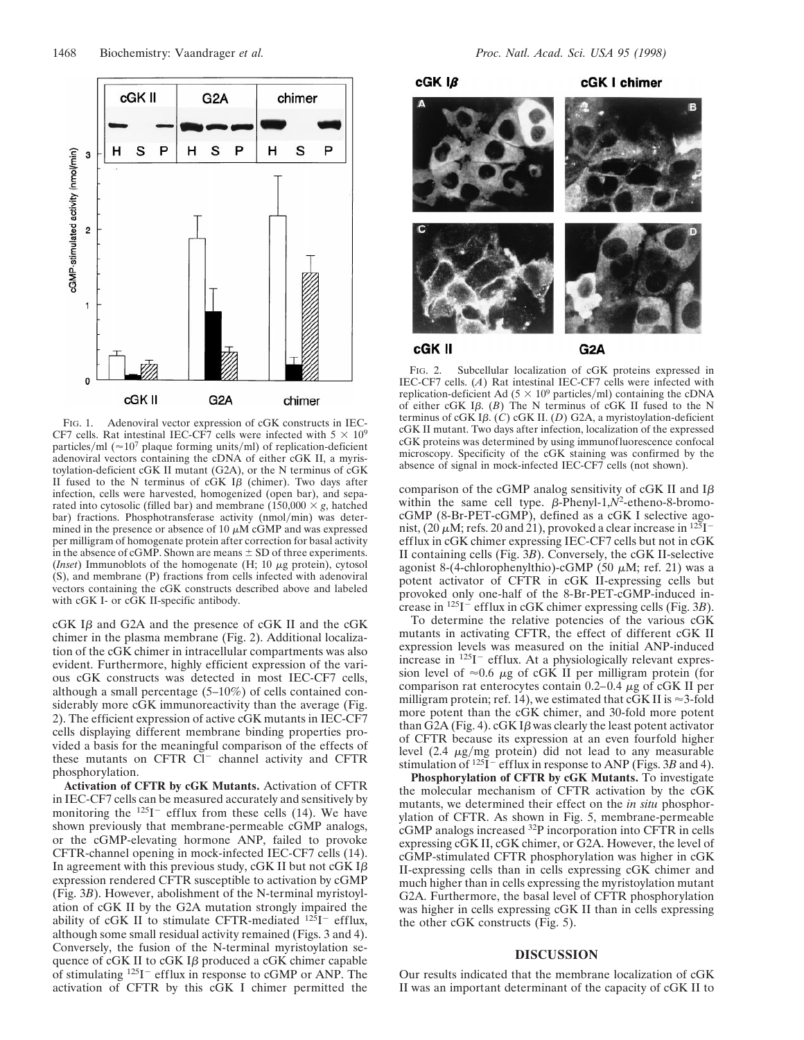

FIG. 1. Adenoviral vector expression of cGK constructs in IEC-CF7 cells. Rat intestinal IEC-CF7 cells were infected with  $5 \times 10^9$ particles/ml ( $\approx$  10<sup>7</sup> plaque forming units/ml) of replication-deficient adenoviral vectors containing the cDNA of either cGK II, a myristoylation-deficient cGK II mutant (G2A), or the N terminus of cGK II fused to the N terminus of  $cGK$  I $\beta$  (chimer). Two days after infection, cells were harvested, homogenized (open bar), and separated into cytosolic (filled bar) and membrane  $(150,000 \times g,$  hatched bar) fractions. Phosphotransferase activity (nmol/min) was determined in the presence or absence of 10  $\mu$ M cGMP and was expressed per milligram of homogenate protein after correction for basal activity in the absence of cGMP. Shown are means  $\pm$  SD of three experiments. (*Inset*) Immunoblots of the homogenate (H;  $10 \mu$ g protein), cytosol (S), and membrane (P) fractions from cells infected with adenoviral vectors containing the cGK constructs described above and labeled with cGK I- or cGK II-specific antibody.

 $cGK$  I $\beta$  and G2A and the presence of  $cGK$  II and the  $cGK$ chimer in the plasma membrane (Fig. 2). Additional localization of the cGK chimer in intracellular compartments was also evident. Furthermore, highly efficient expression of the various cGK constructs was detected in most IEC-CF7 cells, although a small percentage (5–10%) of cells contained considerably more cGK immunoreactivity than the average (Fig. 2). The efficient expression of active cGK mutants in IEC-CF7 cells displaying different membrane binding properties provided a basis for the meaningful comparison of the effects of these mutants on CFTR  $Cl^-$  channel activity and CFTR phosphorylation.

**Activation of CFTR by cGK Mutants.** Activation of CFTR in IEC-CF7 cells can be measured accurately and sensitively by monitoring the  $125I^-$  efflux from these cells (14). We have shown previously that membrane-permeable cGMP analogs, or the cGMP-elevating hormone ANP, failed to provoke CFTR-channel opening in mock-infected IEC-CF7 cells (14). In agreement with this previous study, cGK II but not cGK I $\beta$ expression rendered CFTR susceptible to activation by cGMP (Fig. 3*B*). However, abolishment of the N-terminal myristoylation of cGK II by the G2A mutation strongly impaired the ability of cGK II to stimulate CFTR-mediated  $^{125}$ I<sup>-</sup> efflux, although some small residual activity remained (Figs. 3 and 4). Conversely, the fusion of the N-terminal myristoylation sequence of  $cGK$  II to  $cGK$  I $\beta$  produced a  $cGK$  chimer capable of stimulating  $125I^-$  efflux in response to cGMP or ANP. The activation of CFTR by this cGK I chimer permitted the



FIG. 2. Subcellular localization of cGK proteins expressed in IEC-CF7 cells. (*A*) Rat intestinal IEC-CF7 cells were infected with replication-deficient Ad ( $5 \times 10^9$  particles/ml) containing the cDNA of either cGK Ib. (*B*) The N terminus of cGK II fused to the N terminus of cGK Ib. (*C*) cGK II. (*D*) G2A, a myristoylation-deficient cGK II mutant. Two days after infection, localization of the expressed cGK proteins was determined by using immunofluorescence confocal microscopy. Specificity of the cGK staining was confirmed by the absence of signal in mock-infected IEC-CF7 cells (not shown).

comparison of the cGMP analog sensitivity of cGK II and  $I\beta$ within the same cell type.  $\beta$ -Phenyl-1, $N^2$ -etheno-8-bromocGMP (8-Br-PET-cGMP), defined as a cGK I selective agonist, (20  $\mu$ M; refs. 20 and 21), provoked a clear increase in  $^{125}$ I<sup>-</sup> efflux in cGK chimer expressing IEC-CF7 cells but not in cGK II containing cells (Fig. 3*B*). Conversely, the cGK II-selective agonist 8-(4-chlorophenylthio)-cGMP (50  $\mu$ M; ref. 21) was a potent activator of CFTR in cGK II-expressing cells but provoked only one-half of the 8-Br-PET-cGMP-induced increase in <sup>125</sup>I<sup>-</sup> efflux in cGK chimer expressing cells (Fig. 3*B*).

To determine the relative potencies of the various cGK mutants in activating CFTR, the effect of different cGK II expression levels was measured on the initial ANP-induced increase in  $125I^-$  efflux. At a physiologically relevant expression level of  $\approx 0.6 \mu$ g of cGK II per milligram protein (for comparison rat enterocytes contain  $0.2-0.4 \mu$ g of cGK II per milligram protein; ref. 14), we estimated that cGK II is  $\approx$ 3-fold more potent than the cGK chimer, and 30-fold more potent than  $\overline{G2A}$  (Fig. 4). cGK I $\beta$  was clearly the least potent activator of CFTR because its expression at an even fourfold higher level  $(2.4 \mu g/mg)$  protein) did not lead to any measurable stimulation of <sup>125</sup>I<sup>-</sup> efflux in response to ANP (Figs. 3*B* and 4).

**Phosphorylation of CFTR by cGK Mutants.** To investigate the molecular mechanism of CFTR activation by the cGK mutants, we determined their effect on the *in situ* phosphorylation of CFTR. As shown in Fig. 5, membrane-permeable cGMP analogs increased 32P incorporation into CFTR in cells expressing cGK II, cGK chimer, or G2A. However, the level of cGMP-stimulated CFTR phosphorylation was higher in cGK II-expressing cells than in cells expressing cGK chimer and much higher than in cells expressing the myristoylation mutant G2A. Furthermore, the basal level of CFTR phosphorylation was higher in cells expressing cGK II than in cells expressing the other cGK constructs (Fig. 5).

## **DISCUSSION**

Our results indicated that the membrane localization of cGK II was an important determinant of the capacity of cGK II to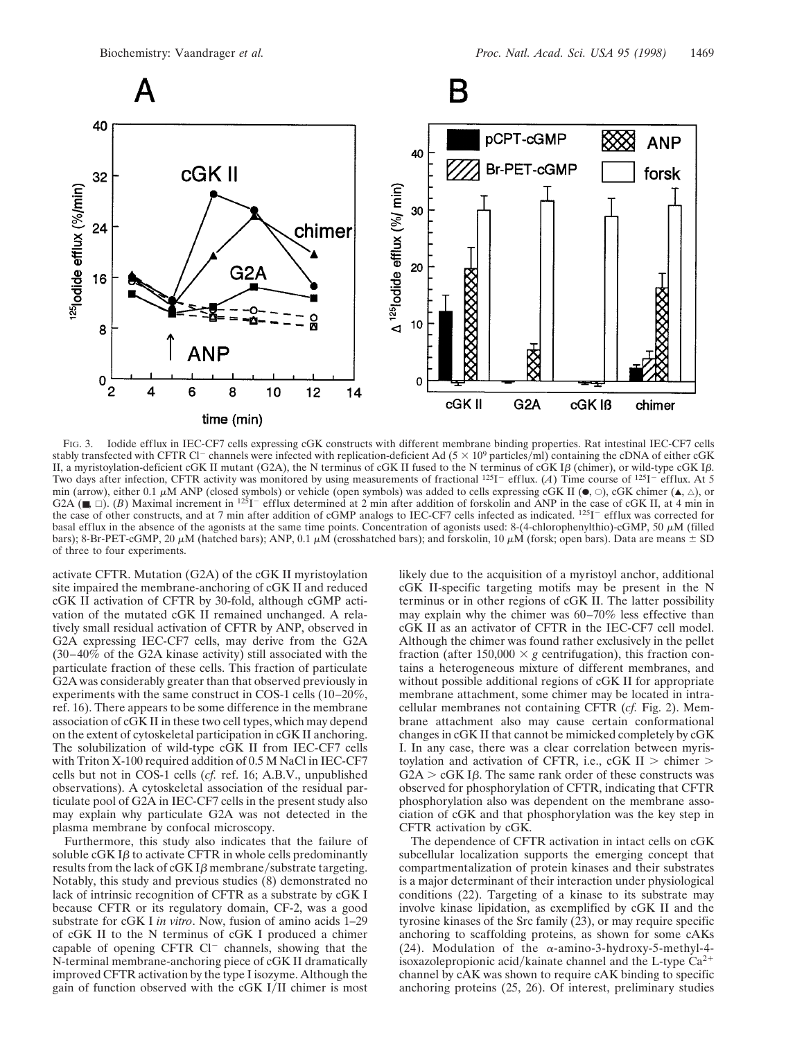





FIG. 3. Iodide efflux in IEC-CF7 cells expressing cGK constructs with different membrane binding properties. Rat intestinal IEC-CF7 cells stably transfected with CFTR Cl<sup>-</sup> channels were infected with replication-deficient Ad (5  $\times$  10<sup>9</sup> particles/ml) containing the cDNA of either cGK II, a myristoylation-deficient cGK II mutant (G2A), the N terminus of cGK II fused to the N terminus of cGK I $\beta$  (chimer), or wild-type cGK I $\beta$ . Two days after infection, CFTR activity was monitored by using measurements of fractional  $125I^-$  efflux. (*A*) Time course of  $125I^-$  efflux. At 5 min (arrow), either 0.1  $\mu$ M ANP (closed symbols) or vehicle (open symbols) was added to cells expressing cGK II ( $\bullet$ ,  $\circ$ ), cGK chimer ( $\bullet$ ,  $\triangle$ ), or G2A ( $\blacksquare$ ,  $\square$ ). (*B*) Maximal increment in <sup>125</sup>I<sup>-</sup> efflux determined at 2 min after addition of forskolin and ANP in the case of cGK II, at 4 min in the case of other constructs, and at 7 min after addition of cGMP analogs to IEC-CF7 cells infected as indicated. <sup>125</sup>I<sup>-</sup> efflux was corrected for basal efflux in the absence of the agonists at the same time points. Concentration of agonists used: 8-(4-chlorophenylthio)-cGMP, 50  $\mu$ M (filled bars); 8-Br-PET-cGMP, 20  $\mu$ M (hatched bars); ANP, 0.1  $\mu$ M (crosshatched bars); and forskolin, 10  $\mu$ M (forsk; open bars). Data are means  $\pm$  SD of three to four experiments.

activate CFTR. Mutation (G2A) of the cGK II myristoylation site impaired the membrane-anchoring of cGK II and reduced cGK II activation of CFTR by 30-fold, although cGMP activation of the mutated cGK II remained unchanged. A relatively small residual activation of CFTR by ANP, observed in G2A expressing IEC-CF7 cells, may derive from the G2A (30–40% of the G2A kinase activity) still associated with the particulate fraction of these cells. This fraction of particulate G2A was considerably greater than that observed previously in experiments with the same construct in COS-1 cells (10–20%, ref. 16). There appears to be some difference in the membrane association of cGK II in these two cell types, which may depend on the extent of cytoskeletal participation in cGK II anchoring. The solubilization of wild-type cGK II from IEC-CF7 cells with Triton X-100 required addition of 0.5 M NaCl in IEC-CF7 cells but not in COS-1 cells (*cf.* ref. 16; A.B.V., unpublished observations). A cytoskeletal association of the residual particulate pool of G2A in IEC-CF7 cells in the present study also may explain why particulate G2A was not detected in the plasma membrane by confocal microscopy.

Furthermore, this study also indicates that the failure of soluble  $cGK$  I $\beta$  to activate CFTR in whole cells predominantly results from the lack of cGK I $\beta$  membrane/substrate targeting. Notably, this study and previous studies (8) demonstrated no lack of intrinsic recognition of CFTR as a substrate by cGK I because CFTR or its regulatory domain, CF-2, was a good substrate for cGK I *in vitro*. Now, fusion of amino acids 1–29 of cGK II to the N terminus of cGK I produced a chimer capable of opening CFTR  $Cl^-$  channels, showing that the N-terminal membrane-anchoring piece of cGK II dramatically improved CFTR activation by the type I isozyme. Although the gain of function observed with the cGK I/II chimer is most

likely due to the acquisition of a myristoyl anchor, additional cGK II-specific targeting motifs may be present in the N terminus or in other regions of cGK II. The latter possibility may explain why the chimer was 60–70% less effective than cGK II as an activator of CFTR in the IEC-CF7 cell model. Although the chimer was found rather exclusively in the pellet fraction (after 150,000  $\times$  *g* centrifugation), this fraction contains a heterogeneous mixture of different membranes, and without possible additional regions of cGK II for appropriate membrane attachment, some chimer may be located in intracellular membranes not containing CFTR (*cf.* Fig. 2). Membrane attachment also may cause certain conformational changes in cGK II that cannot be mimicked completely by cGK I. In any case, there was a clear correlation between myristoylation and activation of CFTR, i.e., cGK II  $>$  chimer  $>$  $G2A > cGK$  I $\beta$ . The same rank order of these constructs was observed for phosphorylation of CFTR, indicating that CFTR phosphorylation also was dependent on the membrane association of cGK and that phosphorylation was the key step in CFTR activation by cGK.

The dependence of CFTR activation in intact cells on cGK subcellular localization supports the emerging concept that compartmentalization of protein kinases and their substrates is a major determinant of their interaction under physiological conditions (22). Targeting of a kinase to its substrate may involve kinase lipidation, as exemplified by cGK II and the tyrosine kinases of the Src family (23), or may require specific anchoring to scaffolding proteins, as shown for some cAKs (24). Modulation of the  $\alpha$ -amino-3-hydroxy-5-methyl-4isoxazolepropionic acid/kainate channel and the L-type  $Ca^{2+}$ channel by cAK was shown to require cAK binding to specific anchoring proteins (25, 26). Of interest, preliminary studies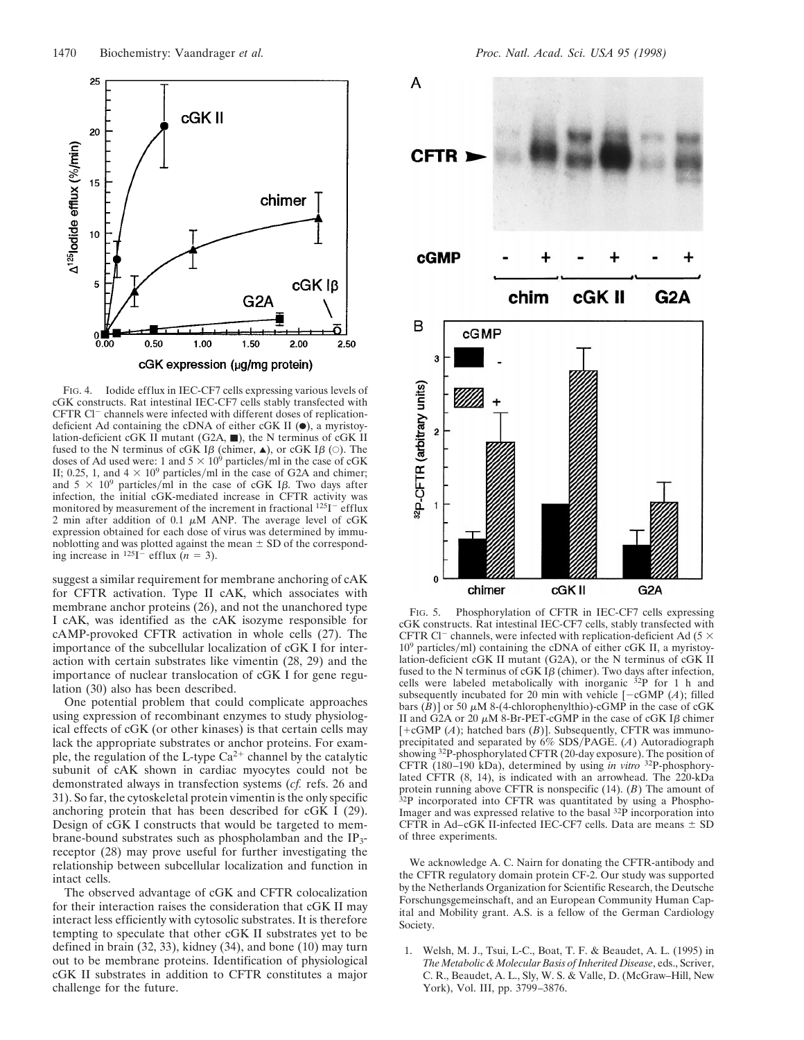

FIG. 4. Iodide efflux in IEC-CF7 cells expressing various levels of cGK constructs. Rat intestinal IEC-CF7 cells stably transfected with CFTR  $Cl^-$  channels were infected with different doses of replicationdeficient Ad containing the cDNA of either cGK II  $(\bullet)$ , a myristoylation-deficient cGK II mutant (G2A, m), the N terminus of cGK II fused to the N terminus of cGK I $\beta$  (chimer,  $\triangle$ ), or cGK I $\beta$  ( $\circ$ ). The doses of Ad used were: 1 and  $5 \times 10^9$  particles/ml in the case of cGK II; 0.25, 1, and  $4 \times 10^9$  particles/ml in the case of G2A and chimer; and  $5 \times 10^9$  particles/ml in the case of cGK I $\beta$ . Two days after infection, the initial cGK-mediated increase in CFTR activity was monitored by measurement of the increment in fractional  $125I^-$  efflux 2 min after addition of 0.1  $\mu$ M ANP. The average level of cGK expression obtained for each dose of virus was determined by immunoblotting and was plotted against the mean  $\pm$  SD of the corresponding increase in <sup>125</sup>I<sup> $\dot{-}$ </sup> efflux  $\tilde{(n} = 3)$ .

suggest a similar requirement for membrane anchoring of cAK for CFTR activation. Type II cAK, which associates with membrane anchor proteins (26), and not the unanchored type I cAK, was identified as the cAK isozyme responsible for cAMP-provoked CFTR activation in whole cells (27). The importance of the subcellular localization of cGK I for interaction with certain substrates like vimentin (28, 29) and the importance of nuclear translocation of cGK I for gene regulation (30) also has been described.

One potential problem that could complicate approaches using expression of recombinant enzymes to study physiological effects of cGK (or other kinases) is that certain cells may lack the appropriate substrates or anchor proteins. For example, the regulation of the L-type  $Ca^{2+}$  channel by the catalytic subunit of cAK shown in cardiac myocytes could not be demonstrated always in transfection systems (*cf.* refs. 26 and 31). So far, the cytoskeletal protein vimentin is the only specific anchoring protein that has been described for cGK I (29). Design of cGK I constructs that would be targeted to membrane-bound substrates such as phospholamban and the IP3 receptor (28) may prove useful for further investigating the relationship between subcellular localization and function in intact cells.

The observed advantage of cGK and CFTR colocalization for their interaction raises the consideration that cGK II may interact less efficiently with cytosolic substrates. It is therefore tempting to speculate that other cGK II substrates yet to be defined in brain (32, 33), kidney (34), and bone (10) may turn out to be membrane proteins. Identification of physiological cGK II substrates in addition to CFTR constitutes a major challenge for the future.



FIG. 5. Phosphorylation of CFTR in IEC-CF7 cells expressing cGK constructs. Rat intestinal IEC-CF7 cells, stably transfected with CFTR Cl<sup>-</sup> channels, were infected with replication-deficient Ad (5  $\times$  $10<sup>9</sup>$  particles/ml) containing the cDNA of either cGK II, a myristoylation-deficient cGK II mutant (G2A), or the N terminus of cGK II fused to the N terminus of cGK I $\beta$  (chimer). Two days after infection, cells were labeled metabolically with inorganic  $32P$  for 1 h and subsequently incubated for 20 min with vehicle  $[-cGMP (A);$  filled bars  $(B)$ ] or 50  $\mu$ M 8-(4-chlorophenylthio)-cGMP in the case of cGK II and G2A or 20  $\mu$ M 8-Br-PET-cGMP in the case of cGK I $\beta$  chimer  $[-cGMP(A)]$ ; hatched bars  $(B)$ ]. Subsequently, CFTR was immunoprecipitated and separated by 6% SDSyPAGE. (*A*) Autoradiograph showing 32P-phosphorylated CFTR (20-day exposure). The position of CFTR (180–190 kDa), determined by using *in vitro* 32P-phosphorylated CFTR (8, 14), is indicated with an arrowhead. The 220-kDa protein running above CFTR is nonspecific (14). (*B*) The amount of <sup>32</sup>P incorporated into CFTR was quantitated by using a Phospho-Imager and was expressed relative to the basal 32P incorporation into CFTR in Ad–cGK II-infected IEC-CF7 cells. Data are means  $\pm$  SD of three experiments.

We acknowledge A. C. Nairn for donating the CFTR-antibody and the CFTR regulatory domain protein CF-2. Our study was supported by the Netherlands Organization for Scientific Research, the Deutsche Forschungsgemeinschaft, and an European Community Human Capital and Mobility grant. A.S. is a fellow of the German Cardiology Society.

1. Welsh, M. J., Tsui, L-C., Boat, T. F. & Beaudet, A. L. (1995) in *The Metabolic & Molecular Basis of Inherited Disease*, eds., Scriver, C. R., Beaudet, A. L., Sly, W. S. & Valle, D. (McGraw–Hill, New York), Vol. III, pp. 3799–3876.